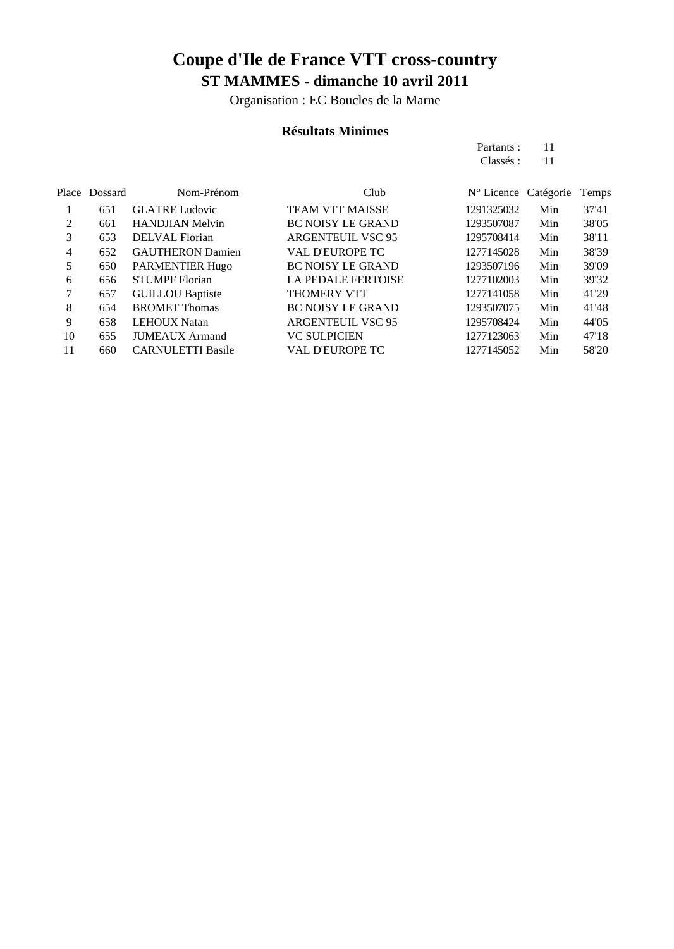Organisation : EC Boucles de la Marne

### **Résultats Minimes**

Partants : 11

|    |               |                          |                           | Classés:                      | 11  |       |
|----|---------------|--------------------------|---------------------------|-------------------------------|-----|-------|
|    | Place Dossard | Nom-Prénom               | Club                      | $N^{\circ}$ Licence Catégorie |     | Temps |
|    | 651           | <b>GLATRE Ludovic</b>    | <b>TEAM VTT MAISSE</b>    | 1291325032                    | Min | 37'41 |
| 2  | 661           | <b>HANDJIAN Melvin</b>   | <b>BC NOISY LE GRAND</b>  | 1293507087                    | Min | 38'05 |
| 3  | 653           | DELVAL Florian           | <b>ARGENTEUIL VSC 95</b>  | 1295708414                    | Min | 38'11 |
| 4  | 652           | <b>GAUTHERON Damien</b>  | <b>VAL D'EUROPE TC</b>    | 1277145028                    | Min | 38'39 |
| 5  | 650           | <b>PARMENTIER Hugo</b>   | <b>BC NOISY LE GRAND</b>  | 1293507196                    | Min | 39'09 |
| 6  | 656           | <b>STUMPF</b> Florian    | <b>LA PEDALE FERTOISE</b> | 1277102003                    | Min | 39'32 |
| 7  | 657           | <b>GUILLOU Baptiste</b>  | <b>THOMERY VTT</b>        | 1277141058                    | Min | 41'29 |
| 8  | 654           | <b>BROMET Thomas</b>     | <b>BC NOISY LE GRAND</b>  | 1293507075                    | Min | 41'48 |
| 9  | 658           | <b>LEHOUX Natan</b>      | <b>ARGENTEUIL VSC 95</b>  | 1295708424                    | Min | 44'05 |
| 10 | 655           | <b>JUMEAUX</b> Armand    | <b>VC SULPICIEN</b>       | 1277123063                    | Min | 47'18 |
| 11 | 660           | <b>CARNULETTI Basile</b> | <b>VAL D'EUROPE TC</b>    | 1277145052                    | Min | 58'20 |
|    |               |                          |                           |                               |     |       |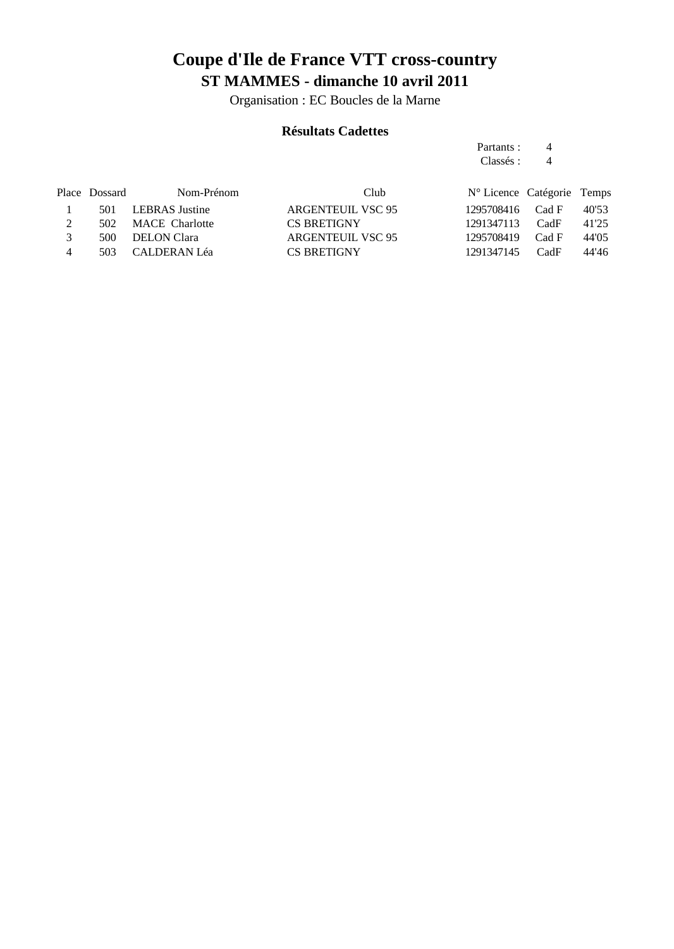Organisation : EC Boucles de la Marne

### **Résultats Cadettes**

|   |               |                       |                          | Partants:<br>Classés :     | 4<br>4 |       |
|---|---------------|-----------------------|--------------------------|----------------------------|--------|-------|
|   | Place Dossard | Nom-Prénom            | Club                     | N° Licence Catégorie Temps |        |       |
|   | 501           | <b>LEBRAS</b> Justine | <b>ARGENTEUIL VSC 95</b> | 1295708416                 | Cad F  | 40'53 |
| 2 | 502           | <b>MACE</b> Charlotte | <b>CS BRETIGNY</b>       | 1291347113                 | CadF   | 41'25 |
| 3 | 500           | <b>DELON</b> Clara    | <b>ARGENTEUIL VSC 95</b> | 1295708419                 | Cad F  | 44'05 |
| 4 | 503           | <b>CALDERAN Léa</b>   | <b>CS BRETIGNY</b>       | 1291347145                 | CadF   | 44'46 |
|   |               |                       |                          |                            |        |       |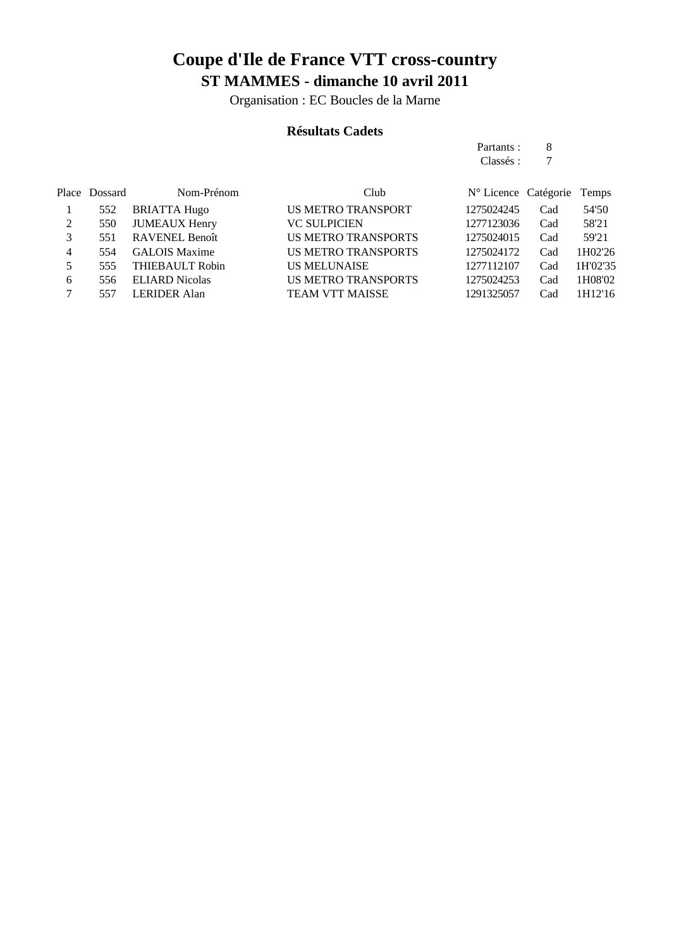Organisation : EC Boucles de la Marne

### **Résultats Cadets**

|   |               |                       |                            | Partants:                     | 8   |          |
|---|---------------|-----------------------|----------------------------|-------------------------------|-----|----------|
|   |               |                       |                            | Classés :                     | 7   |          |
|   | Place Dossard | Nom-Prénom            | Club                       | $N^{\circ}$ Licence Catégorie |     | Temps    |
|   | 552           | <b>BRIATTA Hugo</b>   | <b>US METRO TRANSPORT</b>  | 1275024245                    | Cad | 54'50    |
| 2 | 550           | <b>JUMEAUX Henry</b>  | <b>VC SULPICIEN</b>        | 1277123036                    | Cad | 58'21    |
| 3 | 551           | RAVENEL Benoît        | <b>US METRO TRANSPORTS</b> | 1275024015                    | Cad | 59'21    |
| 4 | 554           | <b>GALOIS</b> Maxime  | <b>US METRO TRANSPORTS</b> | 1275024172                    | Cad | 1H02'26  |
| 5 | 555           | THIEBAULT Robin       | US MELUNAISE               | 1277112107                    | Cad | 1H'02'35 |
| 6 | 556           | <b>ELIARD</b> Nicolas | <b>US METRO TRANSPORTS</b> | 1275024253                    | Cad | 1H08'02  |
| 7 | 557           | <b>LERIDER Alan</b>   | <b>TEAM VTT MAISSE</b>     | 1291325057                    | Cad | 1H12'16  |
|   |               |                       |                            |                               |     |          |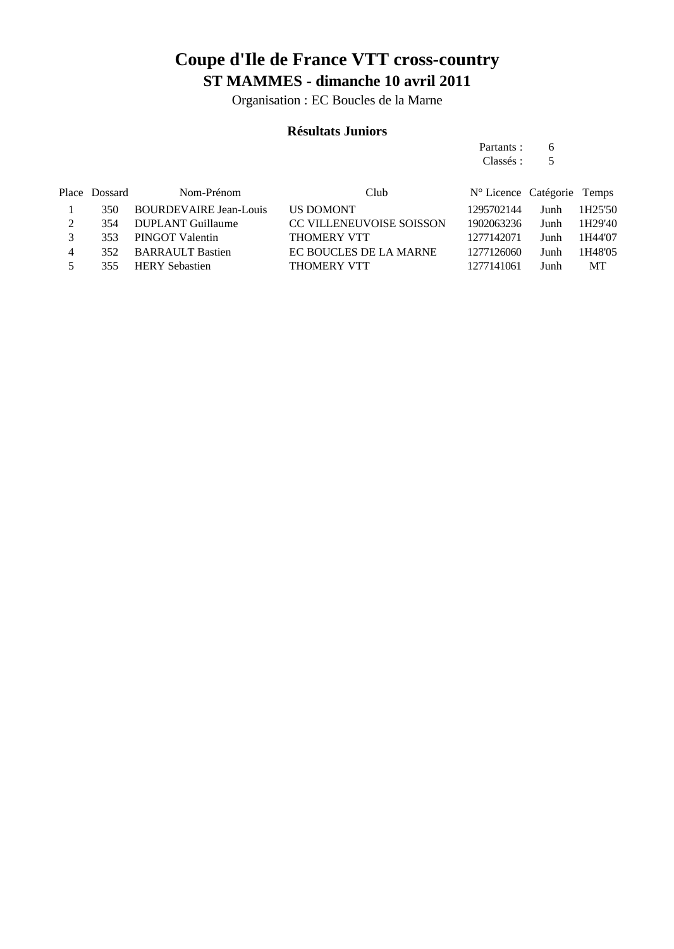Organisation : EC Boucles de la Marne

### **Résultats Juniors**

|      | Partants :<br>Classés :  |  |  |
|------|--------------------------|--|--|
| Club | N° Licence Catégorie Ter |  |  |

|   | Place Dossard | Nom-Prénom                    | Club                            | N° Licence Catégorie Temps |      |         |
|---|---------------|-------------------------------|---------------------------------|----------------------------|------|---------|
|   | 350           | <b>BOURDEVAIRE Jean-Louis</b> | <b>US DOMONT</b>                | 1295702144                 | Junh | 1H25'50 |
|   | 354           | DUPLANT Guillaume             | <b>CC VILLENEUVOISE SOISSON</b> | 1902063236                 | Junh | 1H29'40 |
|   | 353           | PINGOT Valentin               | <b>THOMERY VTT</b>              | 1277142071                 | Junh | 1H44'07 |
| 4 | 352.          | <b>BARRAULT Bastien</b>       | EC BOUCLES DE LA MARNE          | 1277126060                 | Junh | 1H48'05 |
|   | 355           | <b>HERY</b> Sebastien         | <b>THOMERY VTT</b>              | 1277141061                 | Junh | MT      |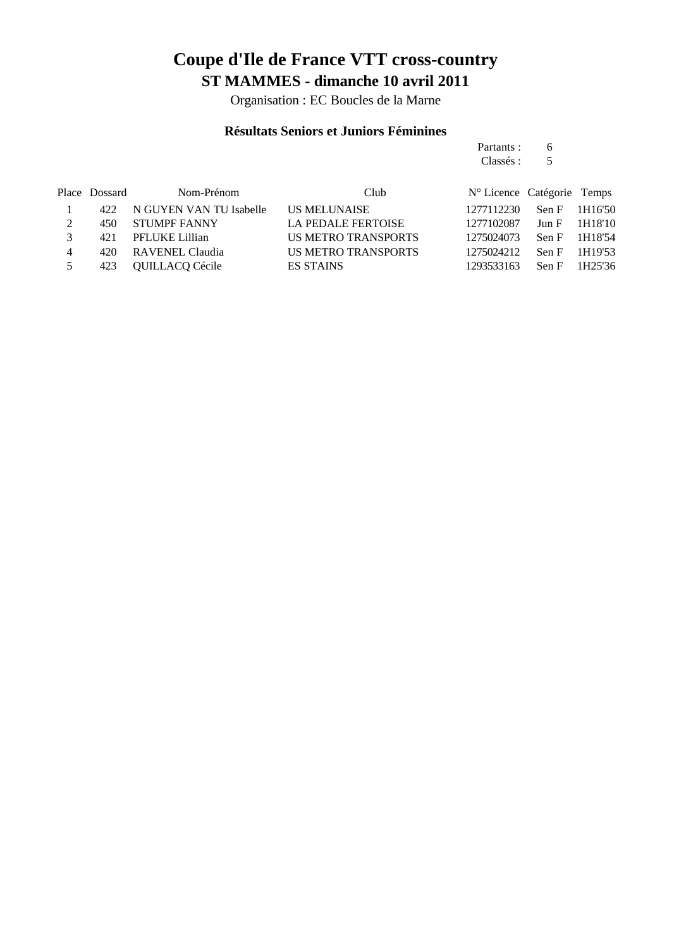Organisation : EC Boucles de la Marne

#### **Résultats Seniors et Juniors Féminines**

|   |               |                         |                            | Partants:                  | 6     |         |
|---|---------------|-------------------------|----------------------------|----------------------------|-------|---------|
|   |               |                         |                            | Classés :                  | 5     |         |
|   | Place Dossard | Nom-Prénom              | Club                       | N° Licence Catégorie Temps |       |         |
|   | 422           | N GUYEN VAN TU Isabelle | <b>US MELUNAISE</b>        | 1277112230                 | Sen F | 1H16'50 |
| 2 | 450           | <b>STUMPF FANNY</b>     | <b>LA PEDALE FERTOISE</b>  | 1277102087                 | Jun F | 1H18'10 |
| 3 | 421           | PFLUKE Lillian          | <b>US METRO TRANSPORTS</b> | 1275024073                 | Sen F | 1H18'54 |
| 4 | 420           | <b>RAVENEL Claudia</b>  | <b>US METRO TRANSPORTS</b> | 1275024212                 | Sen F | 1H19'53 |
| 5 | 423           | QUILLACQ Cécile         | <b>ES STAINS</b>           | 1293533163                 | Sen F | 1H25'36 |
|   |               |                         |                            |                            |       |         |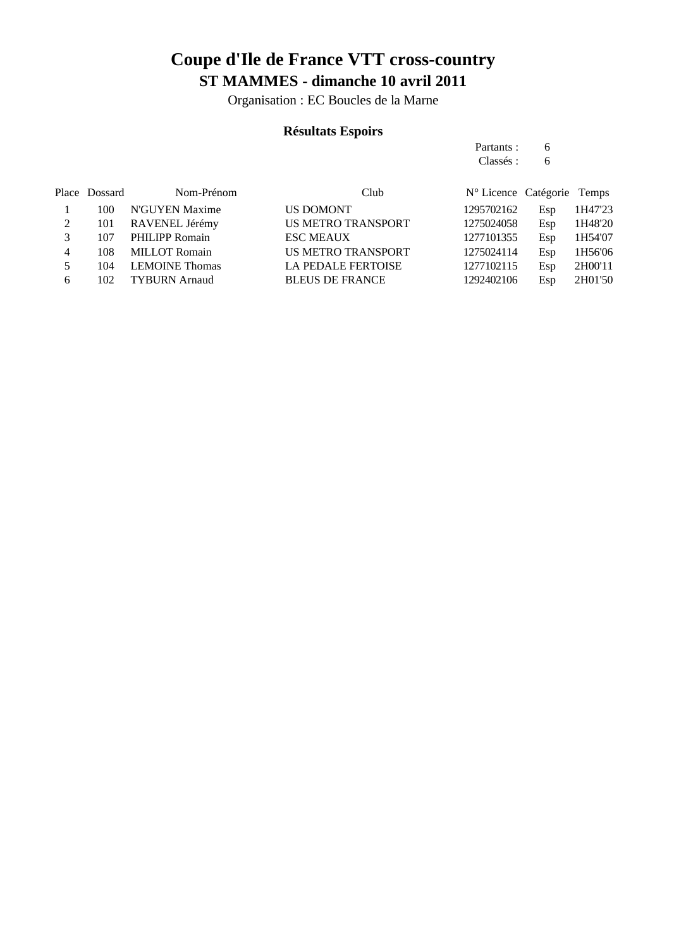Organisation : EC Boucles de la Marne

### **Résultats Espoirs**

|               |                  |                    |      | Partants :                 | $\sigma$              |         |
|---------------|------------------|--------------------|------|----------------------------|-----------------------|---------|
|               |                  |                    |      | Classés :                  | h                     |         |
| Place Dossard | Nom-Prénom       |                    | Club | N° Licence Catégorie Temps |                       |         |
| 100           | $\bf MOTIVENTMA$ | <b>TIC DOMONIT</b> |      | 1005700160.                | $\Gamma_{\text{max}}$ | 111470' |

|                |                    | $\sim$                    | 1. Breence categorie rempo |     |         |
|----------------|--------------------|---------------------------|----------------------------|-----|---------|
| -1             | 100 N'GUYEN Maxime | US DOMONT                 | 1295702162                 | Esp | 1H47'23 |
|                | 101 RAVENEL Jérémy | <b>US METRO TRANSPORT</b> | 1275024058                 | Esp | 1H48'20 |
| 3              | 107 PHILIPP Romain | <b>ESC MEAUX</b>          | 1277101355                 | Esp | 1H54'07 |
| $\overline{4}$ | 108 MILLOT Romain  | <b>US METRO TRANSPORT</b> | 1275024114                 | Esp | 1H56'06 |
| 5              | 104 LEMOINE Thomas | <b>LA PEDALE FERTOISE</b> | 1277102115                 | Esp | 2H00'11 |
| 6              | 102 TYBURN Arnaud  | <b>BLEUS DE FRANCE</b>    | 1292402106                 | Esp | 2H01'50 |
|                |                    |                           |                            |     |         |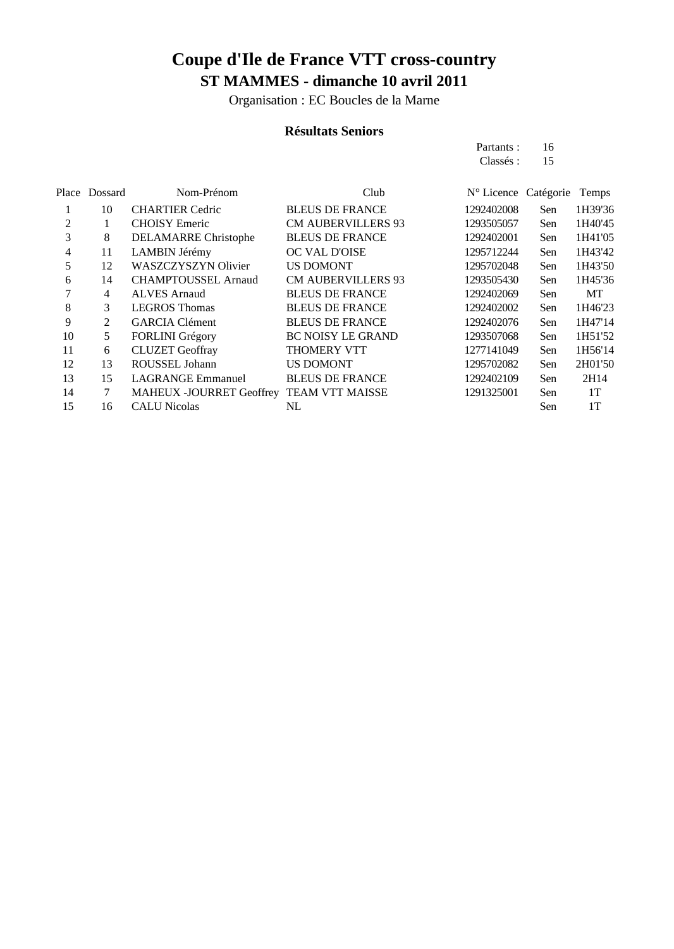Organisation : EC Boucles de la Marne

### **Résultats Seniors**

|       |         |                                 |                           | Partants:<br>Classés: | 16<br>15  |         |
|-------|---------|---------------------------------|---------------------------|-----------------------|-----------|---------|
| Place | Dossard | Nom-Prénom                      | Club                      | N° Licence            | Catégorie | Temps   |
|       | 10      | <b>CHARTIER Cedric</b>          | <b>BLEUS DE FRANCE</b>    | 1292402008            | Sen       | 1H39'36 |
| 2     |         | <b>CHOISY</b> Emeric            | <b>CM AUBERVILLERS 93</b> | 1293505057            | Sen       | 1H40'45 |
| 3     | 8       | DELAMARRE Christophe            | <b>BLEUS DE FRANCE</b>    | 1292402001            | Sen       | 1H41'05 |
| 4     | 11      | LAMBIN Jérémy                   | OC VAL D'OISE             | 1295712244            | Sen       | 1H43'42 |
| 5     | 12      | WASZCZYSZYN Olivier             | <b>US DOMONT</b>          | 1295702048            | Sen       | 1H43'50 |
| 6     | 14      | <b>CHAMPTOUSSEL Arnaud</b>      | <b>CM AUBERVILLERS 93</b> | 1293505430            | Sen       | 1H45'36 |
| 7     | 4       | <b>ALVES</b> Arnaud             | <b>BLEUS DE FRANCE</b>    | 1292402069            | Sen       | МT      |
| 8     | 3       | <b>LEGROS Thomas</b>            | <b>BLEUS DE FRANCE</b>    | 1292402002            | Sen       | 1H46'23 |
| 9     | 2       | <b>GARCIA</b> Clément           | <b>BLEUS DE FRANCE</b>    | 1292402076            | Sen       | 1H47'14 |
| 10    | 5       | FORLINI Grégory                 | BC NOISY LE GRAND         | 1293507068            | Sen       | 1H51'52 |
| 11    | 6       | <b>CLUZET</b> Geoffray          | THOMERY VTT               | 1277141049            | Sen       | 1H56'14 |
| 12    | 13      | ROUSSEL Johann                  | <b>US DOMONT</b>          | 1295702082            | Sen       | 2H01'50 |
| 13    | 15      | <b>LAGRANGE Emmanuel</b>        | <b>BLEUS DE FRANCE</b>    | 1292402109            | Sen       | 2H14    |
| 14    | 7       | <b>MAHEUX -JOURRET Geoffrey</b> | <b>TEAM VTT MAISSE</b>    | 1291325001            | Sen       | 1T      |
| 15    | 16      | <b>CALU Nicolas</b>             | NL                        |                       | Sen       | 1T      |
|       |         |                                 |                           |                       |           |         |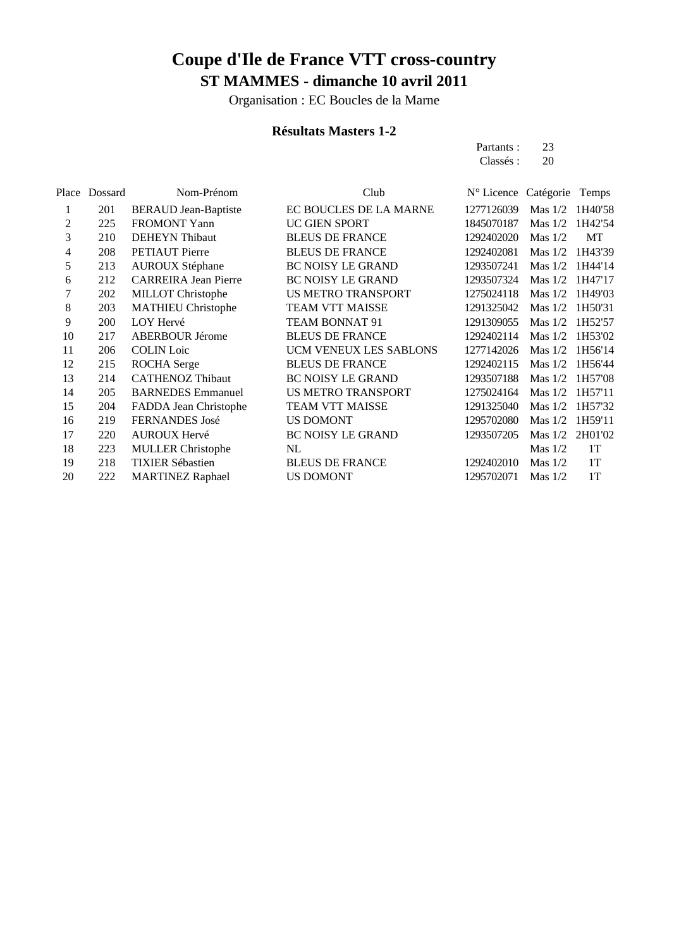Organisation : EC Boucles de la Marne

### **Résultats Masters 1-2**

Partants : 23<br>Classés : 20 Classés :

| Place | Dossard | Nom-Prénom                  | Club                      | N° Licence Catégorie |           | Temps   |
|-------|---------|-----------------------------|---------------------------|----------------------|-----------|---------|
| 1     | 201     | <b>BERAUD</b> Jean-Baptiste | EC BOUCLES DE LA MARNE    | 1277126039           | Mas $1/2$ | 1H40'58 |
| 2     | 225     | <b>FROMONT Yann</b>         | UC GIEN SPORT             | 1845070187           | Mas $1/2$ | 1H42'54 |
| 3     | 210     | <b>DEHEYN</b> Thibaut       | <b>BLEUS DE FRANCE</b>    | 1292402020           | Mas $1/2$ | MT      |
| 4     | 208     | <b>PETIAUT</b> Pierre       | <b>BLEUS DE FRANCE</b>    | 1292402081           | Mas $1/2$ | 1H43'39 |
| 5     | 213     | <b>AUROUX Stéphane</b>      | BC NOISY LE GRAND         | 1293507241           | Mas $1/2$ | 1H44'14 |
| 6     | 212     | <b>CARREIRA Jean Pierre</b> | <b>BC NOISY LE GRAND</b>  | 1293507324           | Mas $1/2$ | 1H47'17 |
| 7     | 202     | <b>MILLOT</b> Christophe    | <b>US METRO TRANSPORT</b> | 1275024118           | Mas $1/2$ | 1H49'03 |
| 8     | 203     | <b>MATHIEU Christophe</b>   | <b>TEAM VTT MAISSE</b>    | 1291325042           | Mas $1/2$ | 1H50'31 |
| 9     | 200     | LOY Hervé                   | <b>TEAM BONNAT 91</b>     | 1291309055           | Mas $1/2$ | 1H52'57 |
| 10    | 217     | <b>ABERBOUR Jérome</b>      | <b>BLEUS DE FRANCE</b>    | 1292402114           | Mas $1/2$ | 1H53'02 |
| 11    | 206     | <b>COLIN</b> Loic           | UCM VENEUX LES SABLONS    | 1277142026           | Mas $1/2$ | 1H56'14 |
| 12    | 215     | <b>ROCHA</b> Serge          | <b>BLEUS DE FRANCE</b>    | 1292402115           | Mas $1/2$ | 1H56'44 |
| 13    | 214     | <b>CATHENOZ Thibaut</b>     | <b>BC NOISY LE GRAND</b>  | 1293507188           | Mas $1/2$ | 1H57'08 |
| 14    | 205     | <b>BARNEDES</b> Emmanuel    | <b>US METRO TRANSPORT</b> | 1275024164           | Mas $1/2$ | 1H57'11 |
| 15    | 204     | FADDA Jean Christophe       | <b>TEAM VTT MAISSE</b>    | 1291325040           | Mas $1/2$ | 1H57'32 |
| 16    | 219     | <b>FERNANDES</b> José       | <b>US DOMONT</b>          | 1295702080           | Mas $1/2$ | 1H59'11 |
| 17    | 220     | <b>AUROUX Hervé</b>         | <b>BC NOISY LE GRAND</b>  | 1293507205           | Mas $1/2$ | 2H01'02 |
| 18    | 223     | <b>MULLER Christophe</b>    | NL                        |                      | Mas $1/2$ | 1T      |
| 19    | 218     | <b>TIXIER Sébastien</b>     | <b>BLEUS DE FRANCE</b>    | 1292402010           | Mas $1/2$ | 1T      |
| 20    | 222     | <b>MARTINEZ Raphael</b>     | <b>US DOMONT</b>          | 1295702071           | Mas $1/2$ | 1T      |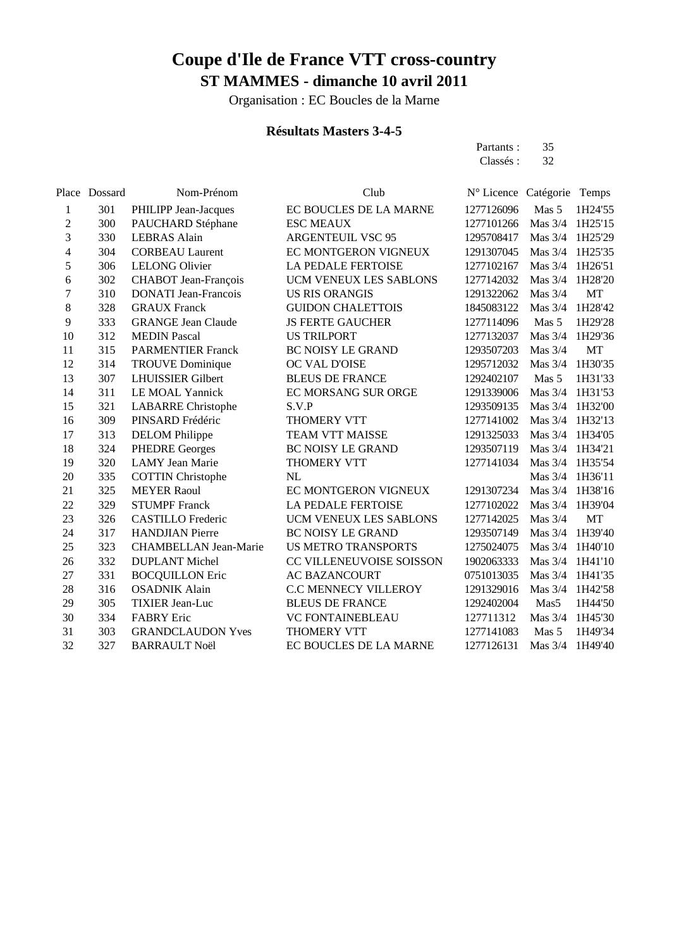Organisation : EC Boucles de la Marne

#### **Résultats Masters 3-4-5**

Partants : 35<br>Classés : 32 Classés :

|                | Place Dossard | Nom-Prénom                   | Club                        | Nº Licence Catégorie Temps |                  |         |
|----------------|---------------|------------------------------|-----------------------------|----------------------------|------------------|---------|
| 1              | 301           | PHILIPP Jean-Jacques         | EC BOUCLES DE LA MARNE      | 1277126096                 | Mas 5            | 1H24'55 |
| 2              | 300           | PAUCHARD Stéphane            | <b>ESC MEAUX</b>            | 1277101266                 | Mas 3/4          | 1H25'15 |
| 3              | 330           | <b>LEBRAS</b> Alain          | <b>ARGENTEUIL VSC 95</b>    | 1295708417                 | Mas 3/4          | 1H25'29 |
| $\overline{4}$ | 304           | <b>CORBEAU Laurent</b>       | EC MONTGERON VIGNEUX        | 1291307045                 | Mas 3/4 1H25'35  |         |
| 5              | 306           | <b>LELONG Olivier</b>        | LA PEDALE FERTOISE          | 1277102167                 | Mas $3/4$        | 1H26'51 |
| 6              | 302           | CHABOT Jean-François         | UCM VENEUX LES SABLONS      | 1277142032                 | Mas $3/4$        | 1H28'20 |
| 7              | 310           | <b>DONATI</b> Jean-Francois  | <b>US RIS ORANGIS</b>       | 1291322062                 | Mas 3/4          | MT      |
| 8              | 328           | <b>GRAUX Franck</b>          | <b>GUIDON CHALETTOIS</b>    | 1845083122                 | Mas $3/4$        | 1H28'42 |
| 9              | 333           | <b>GRANGE Jean Claude</b>    | <b>JS FERTE GAUCHER</b>     | 1277114096                 | Mas 5            | 1H29'28 |
| 10             | 312           | <b>MEDIN Pascal</b>          | <b>US TRILPORT</b>          | 1277132037                 | Mas 3/4          | 1H29'36 |
| 11             | 315           | <b>PARMENTIER Franck</b>     | <b>BC NOISY LE GRAND</b>    | 1293507203                 | Mas 3/4          | MT      |
| 12             | 314           | <b>TROUVE Dominique</b>      | OC VAL D'OISE               | 1295712032                 | Mas 3/4          | 1H30'35 |
| 13             | 307           | <b>LHUISSIER Gilbert</b>     | <b>BLEUS DE FRANCE</b>      | 1292402107                 | Mas 5            | 1H31'33 |
| 14             | 311           | LE MOAL Yannick              | EC MORSANG SUR ORGE         | 1291339006                 | Mas $3/4$        | 1H31'53 |
| 15             | 321           | <b>LABARRE</b> Christophe    | S.V.P                       | 1293509135                 | Mas $3/4$        | 1H32'00 |
| 16             | 309           | PINSARD Frédéric             | THOMERY VTT                 | 1277141002                 | Mas $3/4$        | 1H32'13 |
| 17             | 313           | <b>DELOM</b> Philippe        | <b>TEAM VTT MAISSE</b>      | 1291325033                 | Mas $3/4$        | 1H34'05 |
| 18             | 324           | <b>PHEDRE Georges</b>        | <b>BC NOISY LE GRAND</b>    | 1293507119                 | Mas $3/4$        | 1H34'21 |
| 19             | 320           | <b>LAMY</b> Jean Marie       | THOMERY VTT                 | 1277141034                 | Mas 3/4          | 1H35'54 |
| 20             | 335           | <b>COTTIN</b> Christophe     | NL                          |                            | Mas 3/4          | 1H36'11 |
| 21             | 325           | <b>MEYER Raoul</b>           | EC MONTGERON VIGNEUX        | 1291307234                 | Mas $3/4$        | 1H38'16 |
| 22             | 329           | <b>STUMPF Franck</b>         | <b>LA PEDALE FERTOISE</b>   | 1277102022                 | Mas $3/4$        | 1H39'04 |
| 23             | 326           | <b>CASTILLO</b> Frederic     | UCM VENEUX LES SABLONS      | 1277142025                 | Mas $3/4$        | MT      |
| 24             | 317           | <b>HANDJIAN</b> Pierre       | <b>BC NOISY LE GRAND</b>    | 1293507149                 | Mas $3/4$        | 1H39'40 |
| 25             | 323           | <b>CHAMBELLAN Jean-Marie</b> | <b>US METRO TRANSPORTS</b>  | 1275024075                 | Mas $3/4$        | 1H40'10 |
| 26             | 332           | <b>DUPLANT Michel</b>        | CC VILLENEUVOISE SOISSON    | 1902063333                 | Mas 3/4          | 1H41'10 |
| 27             | 331           | <b>BOCQUILLON Eric</b>       | <b>AC BAZANCOURT</b>        | 0751013035                 | Mas 3/4          | 1H41'35 |
| 28             | 316           | <b>OSADNIK Alain</b>         | <b>C.C MENNECY VILLEROY</b> | 1291329016                 | Mas $3/4$        | 1H42'58 |
| 29             | 305           | <b>TIXIER Jean-Luc</b>       | <b>BLEUS DE FRANCE</b>      | 1292402004                 | Mas <sub>5</sub> | 1H44'50 |
| 30             | 334           | <b>FABRY</b> Eric            | <b>VC FONTAINEBLEAU</b>     | 127711312                  | Mas 3/4          | 1H45'30 |
| 31             | 303           | <b>GRANDCLAUDON Yves</b>     | <b>THOMERY VTT</b>          | 1277141083                 | Mas 5            | 1H49'34 |
| 32             | 327           | <b>BARRAULT Noël</b>         | EC BOUCLES DE LA MARNE      | 1277126131                 | Mas 3/4 1H49'40  |         |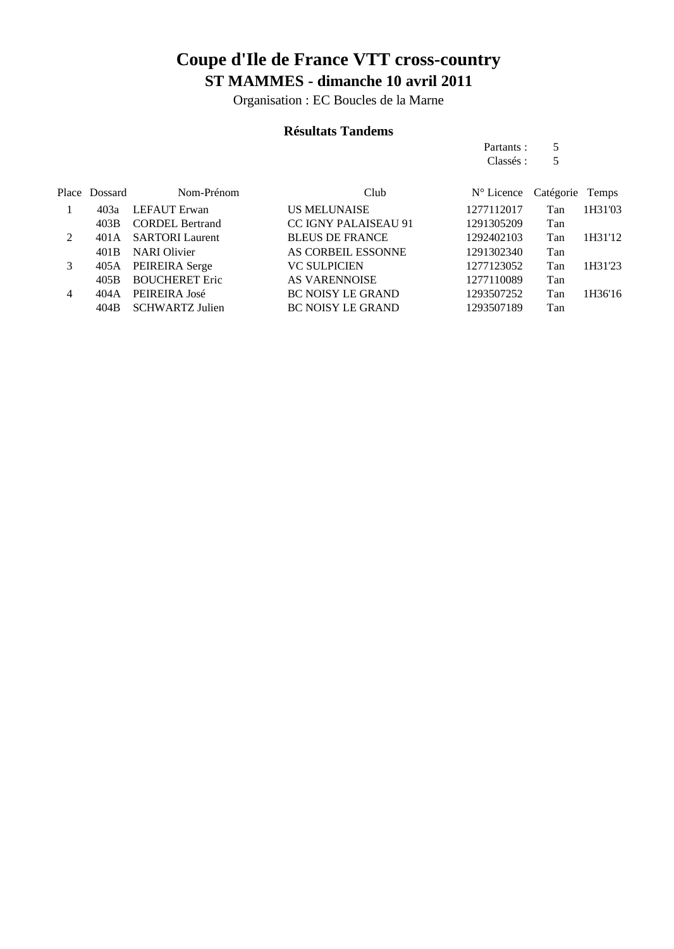Organisation : EC Boucles de la Marne

### **Résultats Tandems**

|   |               |                        |                          | Partants :          | 5         |         |  |
|---|---------------|------------------------|--------------------------|---------------------|-----------|---------|--|
|   |               |                        |                          | Classés :           | 5         |         |  |
|   | Place Dossard | Nom-Prénom             | Club                     | $N^{\circ}$ Licence | Catégorie | Temps   |  |
|   | 403a          | LEFAUT Erwan           | <b>US MELUNAISE</b>      | 1277112017          | Tan       | 1H31'03 |  |
|   | 403B          | <b>CORDEL Bertrand</b> | CC IGNY PALAISEAU 91     | 1291305209          | Tan       |         |  |
| 2 | 401 A         | <b>SARTORI</b> Laurent | <b>BLEUS DE FRANCE</b>   | 1292402103          | Tan       | 1H31'12 |  |
|   | 401B          | <b>NARI</b> Olivier    | AS CORBEIL ESSONNE       | 1291302340          | Tan       |         |  |
| 3 | 405A          | PEIREIRA Serge         | <b>VC SULPICIEN</b>      | 1277123052          | Tan       | 1H31'23 |  |
|   | 405B          | <b>BOUCHERET Eric</b>  | AS VARENNOISE            | 1277110089          | Tan       |         |  |
| 4 | 404A          | PEIREIRA José          | <b>BC NOISY LE GRAND</b> | 1293507252          | Tan       | 1H36'16 |  |
|   | 404B          | <b>SCHWARTZ Julien</b> | <b>BC NOISY LE GRAND</b> | 1293507189          | Tan       |         |  |
|   |               |                        |                          |                     |           |         |  |